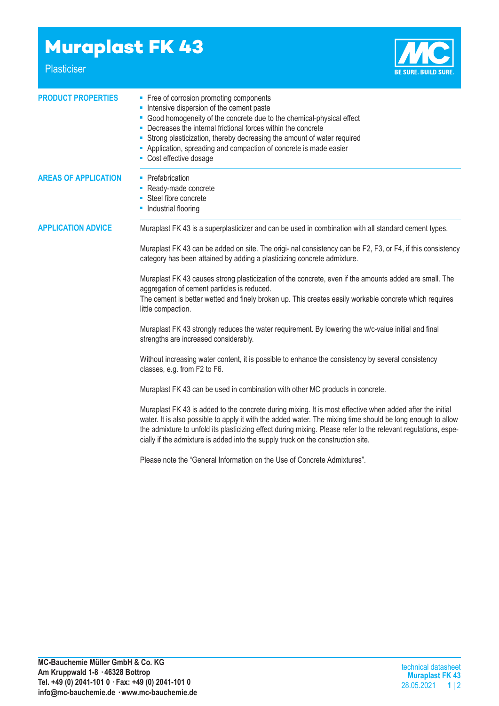## **Muraplast FK 43**

Plasticiser



| <b>PRODUCT PROPERTIES</b>   | • Free of corrosion promoting components<br>- Intensive dispersion of the cement paste<br>• Good homogeneity of the concrete due to the chemical-physical effect<br>Decreases the internal frictional forces within the concrete<br>• Strong plasticization, thereby decreasing the amount of water required<br>- Application, spreading and compaction of concrete is made easier<br>• Cost effective dosage                  |  |  |  |
|-----------------------------|--------------------------------------------------------------------------------------------------------------------------------------------------------------------------------------------------------------------------------------------------------------------------------------------------------------------------------------------------------------------------------------------------------------------------------|--|--|--|
| <b>AREAS OF APPLICATION</b> | • Prefabrication<br>- Ready-made concrete<br>• Steel fibre concrete<br>• Industrial flooring                                                                                                                                                                                                                                                                                                                                   |  |  |  |
| <b>APPLICATION ADVICE</b>   | Muraplast FK 43 is a superplasticizer and can be used in combination with all standard cement types.                                                                                                                                                                                                                                                                                                                           |  |  |  |
|                             | Muraplast FK 43 can be added on site. The origi- nal consistency can be F2, F3, or F4, if this consistency<br>category has been attained by adding a plasticizing concrete admixture.                                                                                                                                                                                                                                          |  |  |  |
|                             | Muraplast FK 43 causes strong plasticization of the concrete, even if the amounts added are small. The<br>aggregation of cement particles is reduced.<br>The cement is better wetted and finely broken up. This creates easily workable concrete which requires<br>little compaction.                                                                                                                                          |  |  |  |
|                             | Muraplast FK 43 strongly reduces the water requirement. By lowering the w/c-value initial and final<br>strengths are increased considerably.                                                                                                                                                                                                                                                                                   |  |  |  |
|                             | Without increasing water content, it is possible to enhance the consistency by several consistency<br>classes, e.g. from F2 to F6.                                                                                                                                                                                                                                                                                             |  |  |  |
|                             | Muraplast FK 43 can be used in combination with other MC products in concrete.                                                                                                                                                                                                                                                                                                                                                 |  |  |  |
|                             | Muraplast FK 43 is added to the concrete during mixing. It is most effective when added after the initial<br>water. It is also possible to apply it with the added water. The mixing time should be long enough to allow<br>the admixture to unfold its plasticizing effect during mixing. Please refer to the relevant regulations, espe-<br>cially if the admixture is added into the supply truck on the construction site. |  |  |  |
|                             | Please note the "General Information on the Use of Concrete Admixtures".                                                                                                                                                                                                                                                                                                                                                       |  |  |  |